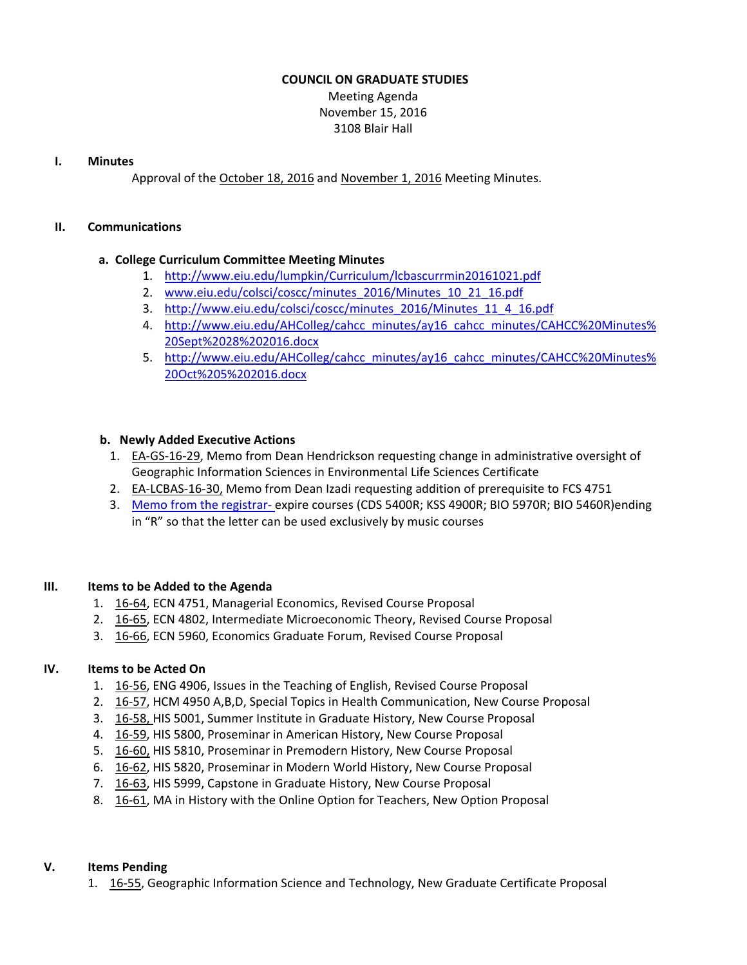## **COUNCIL ON GRADUATE STUDIES**

Meeting Agenda November 15, 2016 3108 Blair Hall

#### **I. Minutes**

Approval of the [October](http://castle.eiu.edu/eiucgs/currentminutes/Minutes10-18-16.pdf) 18, 2016 and [November](http://castle.eiu.edu/eiucgs/currentminutes/Minutes11-01-16.pdf) 1, 2016 Meeting Minutes.

#### **II. Communications**

## **a. College Curriculum Committee Meeting Minutes**

- 1. <http://www.eiu.edu/lumpkin/Curriculum/lcbascurrmin20161021.pdf>
- 2. [www.eiu.edu/colsci/coscc/minutes\\_2016/Minutes\\_10\\_21\\_16.pdf](http://www.eiu.edu/colsci/coscc/minutes_2016/Minutes_10_21_16.pdf)
- 3. [http://www.eiu.edu/colsci/coscc/minutes\\_2016/Minutes\\_11\\_4\\_16.pdf](http://www.eiu.edu/colsci/coscc/minutes_2016/COSCC_Minutes_11_4_16.pdf)
- 4. [http://www.eiu.edu/AHColleg/cahcc\\_minutes/ay16\\_cahcc\\_minutes/CAHCC%20Minutes%](http://www.eiu.edu/AHColleg/cahcc_minutes/ay16_cahcc_minutes/CAHCC%20Minutes%20Sept%2028%202016.docx) 20Sept%2028%202016.docx
- 5. [http://www.eiu.edu/AHColleg/cahcc\\_minutes/ay16\\_cahcc\\_minutes/CAHCC%20Minutes%](http://www.eiu.edu/AHColleg/cahcc_minutes/ay16_cahcc_minutes/CAHCC%20Minutes%20Oct%205%202016.docx) 20Oct%205%202016.docx

## **b. Newly Added Executive Actions**

- 1. EA‐GS‐16‐[29,](http://castle.eiu.edu/eiucgs/exec-actions/EA-GS-16-29.pdf) Memo from Dean Hendrickson requesting change in administrative oversight of Geographic Information Sciences in Environmental Life Sciences Certificate
- 2. EA‐[LCBAS](http://castle.eiu.edu/eiucgs/exec-actions/EA-LCBAS-16-30.pdf)‐16‐30, Memo from Dean Izadi requesting addition of prerequisite to FCS 4751
- 3. Memo from the [registrar](http://castle.eiu.edu/eiucgs/R_Course_Memo_from_registrar.pdf)‐ expire courses (CDS 5400R; KSS 4900R; BIO 5970R; BIO 5460R)ending in "R" so that the letter can be used exclusively by music courses

## **III. Items to be Added to the Agenda**

- 1. [16](http://castle.eiu.edu/eiucgs/currentagendaitems/agenda16-64.pdf)-64, ECN 4751, Managerial Economics, Revised Course Proposal
- 2. [16](http://castle.eiu.edu/eiucgs/currentagendaitems/agenda16-65.pdf)‐65, ECN 4802, Intermediate Microeconomic Theory, Revised Course Proposal
- 3. 16-[66,](http://castle.eiu.edu/eiucgs/currentagendaitems/agenda16-66.pdf) ECN 5960, Economics Graduate Forum, Revised Course Proposal

## **IV. Items to be Acted On**

- 1. [16](http://castle.eiu.edu/eiucgs/currentagendaitems/agenda16-56.pdf)‐56, ENG 4906, Issues in the Teaching of English, Revised Course Proposal
- 2. [16](http://castle.eiu.edu/eiucgs/currentagendaitems/agenda16-57.pdf)-57, HCM 4950 A,B,D, Special Topics in Health Communication, New Course Proposal
- 3. [16](http://castle.eiu.edu/eiucgs/currentagendaitems/agenda16-58.pdf)‐58, HIS 5001, Summer Institute in Graduate History, New Course Proposal
- 4. [16](http://castle.eiu.edu/eiucgs/currentagendaitems/agenda16-59.pdf)‐59, HIS 5800, Proseminar in American History, New Course Proposal
- 5. [16](http://castle.eiu.edu/eiucgs/currentagendaitems/agenda16-60.pdf)‐60, HIS 5810, Proseminar in Premodern History, New Course Proposal
- 6. [16](http://castle.eiu.edu/eiucgs/currentagendaitems/agenda16-62.pdf)‐62, HIS 5820, Proseminar in Modern World History, New Course Proposal
- 7. [16](http://castle.eiu.edu/eiucgs/currentagendaitems/agenda16-63.pdf)‐63, HIS 5999, Capstone in Graduate History, New Course Proposal
- 8. [16](http://castle.eiu.edu/eiucgs/currentagendaitems/agenda16-61.pdf)-61, MA in History with the Online Option for Teachers, New Option Proposal

## **V. Items Pending**

1. [16](http://castle.eiu.edu/eiucgs/currentagendaitems/agenda16-55.pdf)‐55, Geographic Information Science and Technology, New Graduate Certificate Proposal